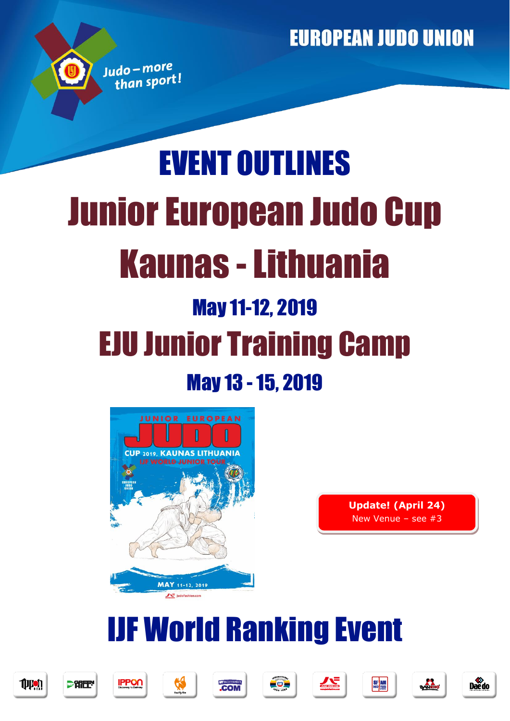# EVENT OUTLINES Junior European Judo Cup Kaunas -Lithuania May 11-12, 2019 EJU Junior Training Camp May 13 -15, 2019





## IJF World Ranking Event







Judo-more than sport!











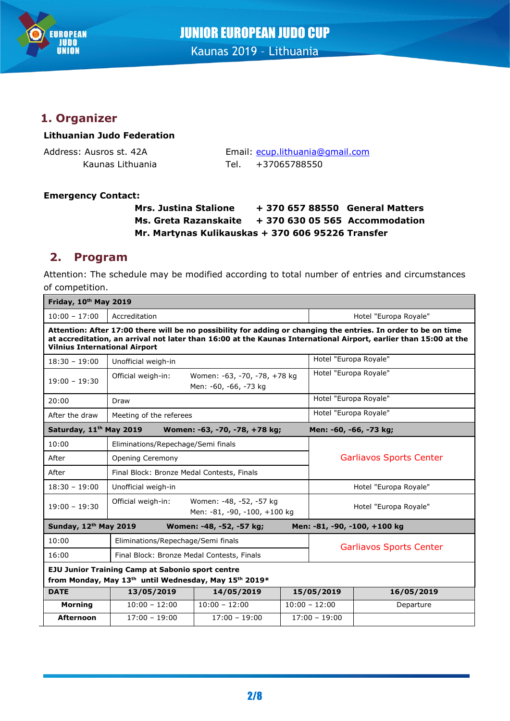

## JUNIOR EUROPEAN JUDO CUP Kaunas 2019 – Lithuania

## **1. Organizer**

#### **Lithuanian Judo Federation**

Address: Ausros st. 42A Email: [ecup.lithuania@gmail.com](mailto:ecup.lithuania@gmail.com) Kaunas Lithuania Tel. +37065788550

#### **Emergency Contact:**

#### **Mrs. Justina Stalione + 370 657 88550 General Matters Ms. Greta Razanskaite + 370 630 05 565 Accommodation Mr. Martynas Kulikauskas + 370 606 95226 Transfer**

## **2. Program**

Attention: The schedule may be modified according to total number of entries and circumstances of competition.

| Friday, 10th May 2019                                                                                                                                                                                                                                                      |                                                                               |                                                       |                       |                                |            |  |
|----------------------------------------------------------------------------------------------------------------------------------------------------------------------------------------------------------------------------------------------------------------------------|-------------------------------------------------------------------------------|-------------------------------------------------------|-----------------------|--------------------------------|------------|--|
| $10:00 - 17:00$                                                                                                                                                                                                                                                            | Accreditation                                                                 |                                                       | Hotel "Europa Royale" |                                |            |  |
| Attention: After 17:00 there will be no possibility for adding or changing the entries. In order to be on time<br>at accreditation, an arrival not later than 16:00 at the Kaunas International Airport, earlier than 15:00 at the<br><b>Vilnius International Airport</b> |                                                                               |                                                       |                       |                                |            |  |
| $18:30 - 19:00$                                                                                                                                                                                                                                                            | Unofficial weigh-in                                                           |                                                       |                       | Hotel "Europa Royale"          |            |  |
| $19:00 - 19:30$                                                                                                                                                                                                                                                            | Official weigh-in:                                                            | Women: -63, -70, -78, +78 kg<br>Men: -60, -66, -73 kg |                       | Hotel "Europa Royale"          |            |  |
| 20:00                                                                                                                                                                                                                                                                      | Draw                                                                          |                                                       |                       | Hotel "Europa Royale"          |            |  |
| After the draw                                                                                                                                                                                                                                                             | Meeting of the referees                                                       |                                                       |                       | Hotel "Europa Royale"          |            |  |
| Saturday, 11 <sup>th</sup> May 2019<br>Men: -60, -66, -73 kg;<br>Women: -63, -70, -78, +78 kg;                                                                                                                                                                             |                                                                               |                                                       |                       |                                |            |  |
| 10:00                                                                                                                                                                                                                                                                      | Eliminations/Repechage/Semi finals                                            |                                                       |                       |                                |            |  |
| After                                                                                                                                                                                                                                                                      | Opening Ceremony                                                              |                                                       |                       | <b>Garliavos Sports Center</b> |            |  |
| After                                                                                                                                                                                                                                                                      | Final Block: Bronze Medal Contests, Finals                                    |                                                       |                       |                                |            |  |
| $18:30 - 19:00$                                                                                                                                                                                                                                                            | Unofficial weigh-in                                                           |                                                       |                       | Hotel "Europa Royale"          |            |  |
| $19:00 - 19:30$                                                                                                                                                                                                                                                            | Official weigh-in:<br>Women: -48, -52, -57 kg<br>Men: -81, -90, -100, +100 kg |                                                       |                       | Hotel "Europa Royale"          |            |  |
| Sunday, 12th May 2019<br>Men: -81, -90, -100, +100 kg<br>Women: -48, -52, -57 kg;                                                                                                                                                                                          |                                                                               |                                                       |                       |                                |            |  |
| 10:00                                                                                                                                                                                                                                                                      | Eliminations/Repechage/Semi finals                                            |                                                       |                       | <b>Garliavos Sports Center</b> |            |  |
| 16:00                                                                                                                                                                                                                                                                      |                                                                               | Final Block: Bronze Medal Contests, Finals            |                       |                                |            |  |
| <b>EJU Junior Training Camp at Sabonio sport centre</b>                                                                                                                                                                                                                    |                                                                               |                                                       |                       |                                |            |  |
| from Monday, May 13 <sup>th</sup> until Wednesday, May 15 <sup>th</sup> 2019*                                                                                                                                                                                              |                                                                               |                                                       |                       |                                |            |  |
| <b>DATE</b>                                                                                                                                                                                                                                                                | 13/05/2019                                                                    | 14/05/2019                                            |                       | 15/05/2019                     | 16/05/2019 |  |
| <b>Morning</b>                                                                                                                                                                                                                                                             | $10:00 - 12:00$                                                               | $10:00 - 12:00$                                       | $10:00 - 12:00$       |                                | Departure  |  |
| <b>Afternoon</b>                                                                                                                                                                                                                                                           | $17:00 - 19:00$                                                               | $17:00 - 19:00$                                       | $17:00 - 19:00$       |                                |            |  |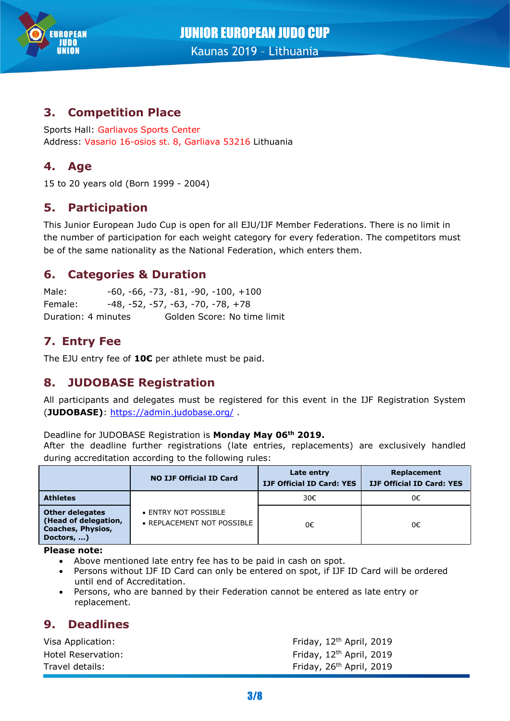

## **3. Competition Place**

Sports Hall: Garliavos Sports Center Address: Vasario 16-osios st. 8, Garliava 53216 Lithuania

## **4. Age**

15 to 20 years old (Born 1999 - 2004)

## **5. Participation**

This Junior European Judo Cup is open for all EJU/IJF Member Federations. There is no limit in the number of participation for each weight category for every federation. The competitors must be of the same nationality as the National Federation, which enters them.

#### **6. Categories & Duration**

Male: -60, -66, -73, -81, -90, -100, +100 Female: -48, -52, -57, -63, -70, -78, +78 Duration: 4 minutes Golden Score: No time limit

## **7. Entry Fee**

The EJU entry fee of **10€** per athlete must be paid.

#### **8. JUDOBASE Registration**

All participants and delegates must be registered for this event in the IJF Registration System (**JUDOBASE)**:<https://admin.judobase.org/> .

#### Deadline for JUDOBASE Registration is **Monday May 06th 2019.**

After the deadline further registrations (late entries, replacements) are exclusively handled during accreditation according to the following rules:

|                                                                                          | <b>NO IJF Official ID Card</b>                     | Late entry<br><b>IJF Official ID Card: YES</b> | Replacement<br><b>IJF Official ID Card: YES</b> |  |
|------------------------------------------------------------------------------------------|----------------------------------------------------|------------------------------------------------|-------------------------------------------------|--|
| <b>Athletes</b>                                                                          |                                                    | 30€                                            | 0€                                              |  |
| <b>Other delegates</b><br>(Head of delegation,<br><b>Coaches, Physios,</b><br>Doctors, ) | • ENTRY NOT POSSIBLE<br>• REPLACEMENT NOT POSSIBLE | 0€                                             | 0€                                              |  |

**Please note:**

- Above mentioned late entry fee has to be paid in cash on spot.
- Persons without IJF ID Card can only be entered on spot, if IJF ID Card will be ordered until end of Accreditation.
- Persons, who are banned by their Federation cannot be entered as late entry or replacement.

#### **9. Deadlines**

| Visa Application:  | Friday, $12th$ April, 2019           |
|--------------------|--------------------------------------|
| Hotel Reservation: | Friday, $12th$ April, 2019           |
| Travel details:    | Friday, 26 <sup>th</sup> April, 2019 |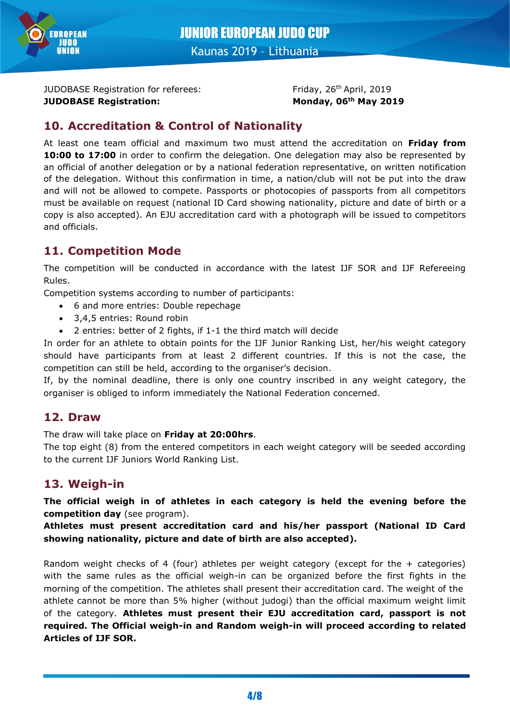

JUDOBASE Registration for referees: **JUDOBASE Registration: Monday, 06th May 2019**

Friday, 26<sup>th</sup> April, 2019

## **10. Accreditation & Control of Nationality**

At least one team official and maximum two must attend the accreditation on **Friday from 10:00 to 17:00** in order to confirm the delegation. One delegation may also be represented by an official of another delegation or by a national federation representative, on written notification of the delegation. Without this confirmation in time, a nation/club will not be put into the draw and will not be allowed to compete. Passports or photocopies of passports from all competitors must be available on request (national ID Card showing nationality, picture and date of birth or a copy is also accepted). An EJU accreditation card with a photograph will be issued to competitors and officials.

## **11. Competition Mode**

The competition will be conducted in accordance with the latest IJF SOR and IJF Refereeing Rules.

Competition systems according to number of participants:

- 6 and more entries: Double repechage
- 3,4,5 entries: Round robin
- 2 entries: better of 2 fights, if 1-1 the third match will decide

In order for an athlete to obtain points for the IJF Junior Ranking List, her/his weight category should have participants from at least 2 different countries. If this is not the case, the competition can still be held, according to the organiser's decision.

If, by the nominal deadline, there is only one country inscribed in any weight category, the organiser is obliged to inform immediately the National Federation concerned.

#### **12. Draw**

The draw will take place on **Friday at 20:00hrs**.

The top eight (8) from the entered competitors in each weight category will be seeded according to the current IJF Juniors World Ranking List.

## **13. Weigh-in**

**The official weigh in of athletes in each category is held the evening before the competition day** (see program).

**Athletes must present accreditation card and his/her passport (National ID Card showing nationality, picture and date of birth are also accepted).**

Random weight checks of 4 (four) athletes per weight category (except for the  $+$  categories) with the same rules as the official weigh-in can be organized before the first fights in the morning of the competition. The athletes shall present their accreditation card. The weight of the athlete cannot be more than 5% higher (without judogi) than the official maximum weight limit of the category. **Athletes must present their EJU accreditation card, passport is not required. The Official weigh-in and Random weigh-in will proceed according to related Articles of IJF SOR.**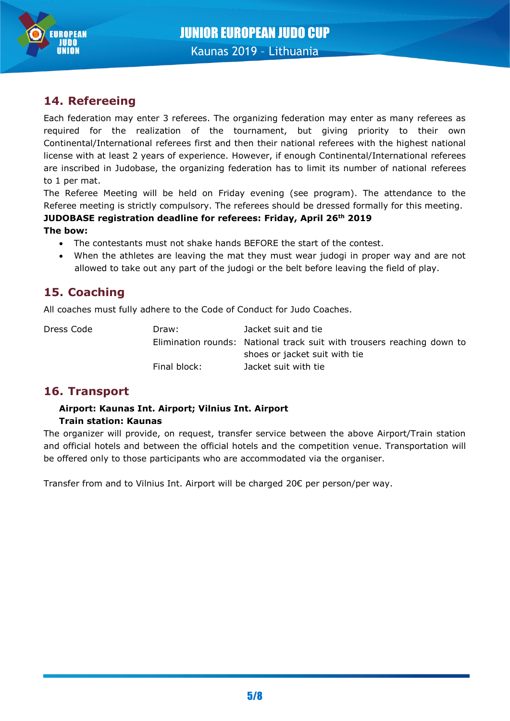

## **14. Refereeing**

Each federation may enter 3 referees. The organizing federation may enter as many referees as required for the realization of the tournament, but giving priority to their own Continental/International referees first and then their national referees with the highest national license with at least 2 years of experience. However, if enough Continental/International referees are inscribed in Judobase, the organizing federation has to limit its number of national referees to 1 per mat.

The Referee Meeting will be held on Friday evening (see program). The attendance to the Referee meeting is strictly compulsory. The referees should be dressed formally for this meeting.

#### **JUDOBASE registration deadline for referees: Friday, April 26th 2019 The bow:**

- The contestants must not shake hands BEFORE the start of the contest.
- When the athletes are leaving the mat they must wear judogi in proper way and are not allowed to take out any part of the judogi or the belt before leaving the field of play.

## **15. Coaching**

All coaches must fully adhere to the Code of Conduct for Judo Coaches.

Dress Code Draw: Jacket suit and tie Elimination rounds: National track suit with trousers reaching down to shoes or jacket suit with tie Final block: Jacket suit with tie

#### **16. Transport**

#### **Airport: Kaunas Int. Airport; Vilnius Int. Airport Train station: Kaunas**

The organizer will provide, on request, transfer service between the above Airport/Train station and official hotels and between the official hotels and the competition venue. Transportation will be offered only to those participants who are accommodated via the organiser.

Transfer from and to Vilnius Int. Airport will be charged 20€ per person/per way.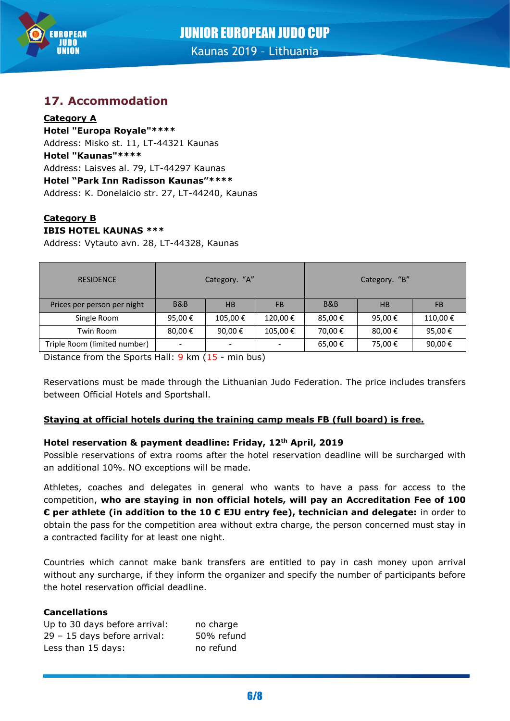

## **17. Accommodation**

#### **Category A Hotel "Europa Royale"\*\*\*\***

Address: Misko st. 11, LT-44321 Kaunas **Hotel "Kaunas"\*\*\*\*** Address: Laisves al. 79, LT-44297 Kaunas **Hotel "Park Inn Radisson Kaunas"\*\*\*\*** Address: K. Donelaicio str. 27, LT-44240, Kaunas

#### **Category B IBIS HOTEL KAUNAS \*\*\***

Address: Vytauto avn. 28, LT-44328, Kaunas

| <b>RESIDENCE</b>             | Category. "A" |         |           | Category. "B"  |        |         |
|------------------------------|---------------|---------|-----------|----------------|--------|---------|
| Prices per person per night  | B&B           | HB      | <b>FB</b> | <b>B&amp;B</b> | HB     | FB      |
| Single Room                  | 95,00€        | 105,00€ | 120,00€   | 85,00€         | 95,00€ | 110,00€ |
| Twin Room                    | 80,00€        | 90,00€  | 105,00€   | 70,00 €        | 80,00€ | 95,00€  |
| Triple Room (limited number) |               | -       |           | 65,00€         | 75,00€ | 90,00€  |

Distance from the Sports Hall: 9 km (15 - min bus)

Reservations must be made through the Lithuanian Judo Federation. The price includes transfers between Official Hotels and Sportshall.

#### **Staying at official hotels during the training camp meals FB (full board) is free.**

#### **Hotel reservation & payment deadline: Friday, 12th April, 2019**

Possible reservations of extra rooms after the hotel reservation deadline will be surcharged with an additional 10%. NO exceptions will be made.

Athletes, coaches and delegates in general who wants to have a pass for access to the competition, **who are staying in non official hotels, will pay an Accreditation Fee of 100 € per athlete (in addition to the 10 € EJU entry fee), technician and delegate:** in order to obtain the pass for the competition area without extra charge, the person concerned must stay in a contracted facility for at least one night.

Countries which cannot make bank transfers are entitled to pay in cash money upon arrival without any surcharge, if they inform the organizer and specify the number of participants before the hotel reservation official deadline.

#### **Cancellations**

| Up to 30 days before arrival: | no charge  |
|-------------------------------|------------|
| 29 - 15 days before arrival:  | 50% refund |
| Less than 15 days:            | no refund  |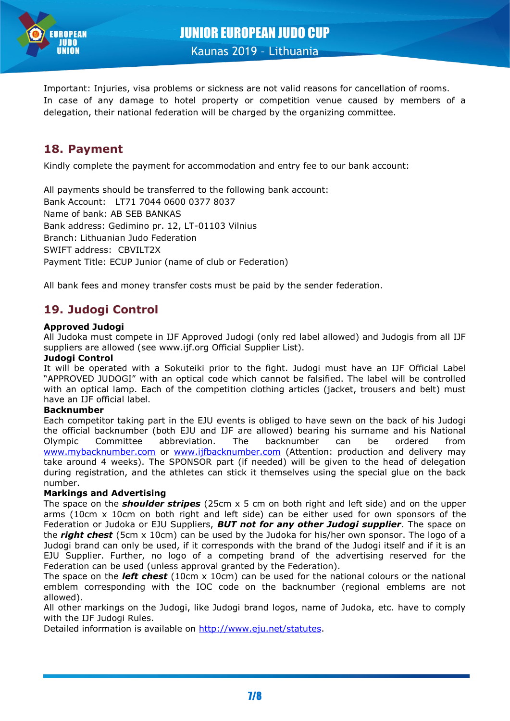

Important: Injuries, visa problems or sickness are not valid reasons for cancellation of rooms. In case of any damage to hotel property or competition venue caused by members of a delegation, their national federation will be charged by the organizing committee.

## **18. Payment**

Kindly complete the payment for accommodation and entry fee to our bank account:

All payments should be transferred to the following bank account: Bank Account: LT71 7044 0600 0377 8037 Name of bank: AB SEB BANKAS Bank address: Gedimino pr. 12, LT-01103 Vilnius Branch: Lithuanian Judo Federation SWIFT address: CBVILT2X Payment Title: ECUP Junior (name of club or Federation)

All bank fees and money transfer costs must be paid by the sender federation.

## **19. Judogi Control**

#### **Approved Judogi**

All Judoka must compete in IJF Approved Judogi (only red label allowed) and Judogis from all IJF suppliers are allowed (see www.ijf.org Official Supplier List).

#### **Judogi Control**

It will be operated with a Sokuteiki prior to the fight. Judogi must have an IJF Official Label "APPROVED JUDOGI" with an optical code which cannot be falsified. The label will be controlled with an optical lamp. Each of the competition clothing articles (jacket, trousers and belt) must have an IJF official label.

#### **Backnumber**

Each competitor taking part in the EJU events is obliged to have sewn on the back of his Judogi the official backnumber (both EJU and IJF are allowed) bearing his surname and his National Olympic Committee abbreviation. The backnumber can be ordered from [www.mybacknumber.com](file:///C:/alla_h/Hoesl/AppData/Local/POR%20Coimbra/www.mybacknumber.com) or [www.ijfbacknumber.com](file:///C:/alla_h/Hoesl/AppData/Local/POR%20Coimbra/www.ijfbacknumber.com) (Attention: production and delivery may take around 4 weeks). The SPONSOR part (if needed) will be given to the head of delegation during registration, and the athletes can stick it themselves using the special glue on the back number.

#### **Markings and Advertising**

The space on the *shoulder stripes* (25cm x 5 cm on both right and left side) and on the upper arms (10cm x 10cm on both right and left side) can be either used for own sponsors of the Federation or Judoka or EJU Suppliers, *BUT not for any other Judogi supplier*. The space on the *right chest* (5cm x 10cm) can be used by the Judoka for his/her own sponsor. The logo of a Judogi brand can only be used, if it corresponds with the brand of the Judogi itself and if it is an EJU Supplier. Further, no logo of a competing brand of the advertising reserved for the Federation can be used (unless approval granted by the Federation).

The space on the *left chest* (10cm x 10cm) can be used for the national colours or the national emblem corresponding with the IOC code on the backnumber (regional emblems are not allowed).

All other markings on the Judogi, like Judogi brand logos, name of Judoka, etc. have to comply with the IJF Judogi Rules.

Detailed information is available on [http://www.eju.net/statutes.](http://www.eju.net/statutes)